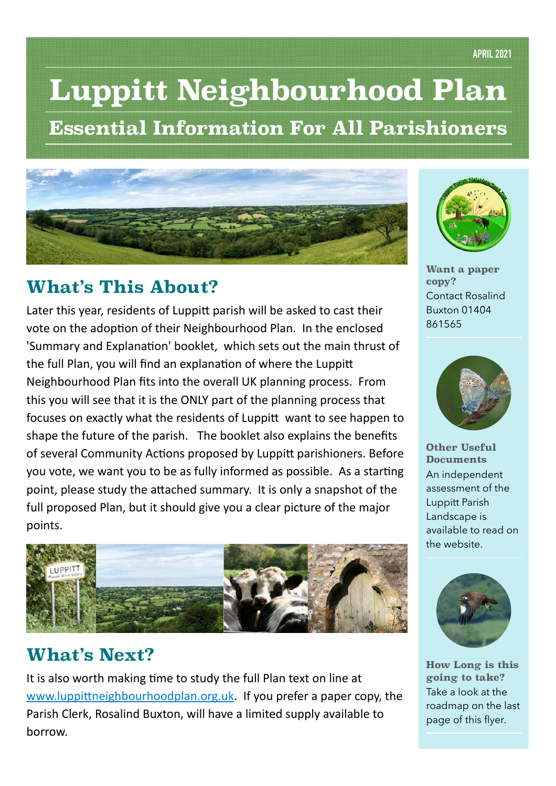# **Luppitt Neighbourhood Plan Essential Information For All Parishioners**



## **What's This About?**

Later this year, residents of Luppitt parish will be asked to cast their vote on the adoption of their Neighbourhood Plan. In the enclosed 'Summary and Explanation' booklet, which sets out the main thrust of the full Plan, you will find an explanation of where the Luppitt Neighbourhood Plan fits into the overall UK planning process. From this you will see that it is the ONLY part of the planning process that focuses on exactly what the residents of Luppitt want to see happen to shape the future of the parish. The booklet also explains the benefits of several Community Actions proposed by Luppitt parishioners. Before you vote, we want you to be as fully informed as possible. As a starting point, please study the attached summary. It is only a snapshot of the full proposed Plan, but it should give you a clear picture of the major points.



## **What's Next?**

It is also worth making time to study the full Plan text on line at [www.luppittneighbourhoodplan.org.uk](http://www.luppittneighbourhoodplan.org.uk). If you prefer a paper copy, the Parish Clerk, Rosalind Buxton, will have a limited supply available to borrow.



**Want a paper copy?**  Contact Rosalind Buxton 01404 861565



**Other Useful Documents** An independent assessment of the Luppitt Parish Landscape is available to read on the website.



**How Long is this going to take?** Take a look at the roadmap on the last page of this flyer.

#### **APRIL 2021**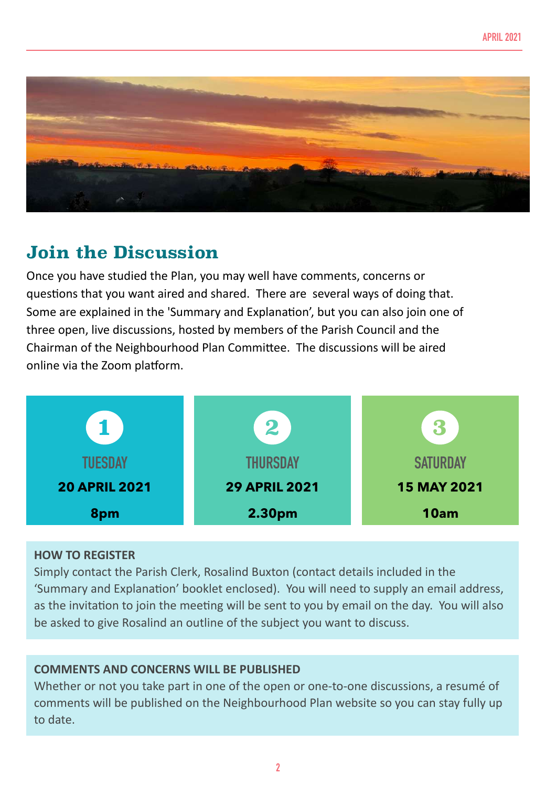

### **Join the Discussion**

Once you have studied the Plan, you may well have comments, concerns or questions that you want aired and shared. There are several ways of doing that. Some are explained in the 'Summary and Explanation', but you can also join one of three open, live discussions, hosted by members of the Parish Council and the Chairman of the Neighbourhood Plan Committee. The discussions will be aired online via the Zoom platform.



#### **HOW TO REGISTER**

Simply contact the Parish Clerk, Rosalind Buxton (contact details included in the 'Summary and Explanation' booklet enclosed). You will need to supply an email address, as the invitation to join the meeting will be sent to you by email on the day. You will also be asked to give Rosalind an outline of the subject you want to discuss.

#### **COMMENTS AND CONCERNS WILL BE PUBLISHED**

Whether or not you take part in one of the open or one-to-one discussions, a resumé of comments will be published on the Neighbourhood Plan website so you can stay fully up to date.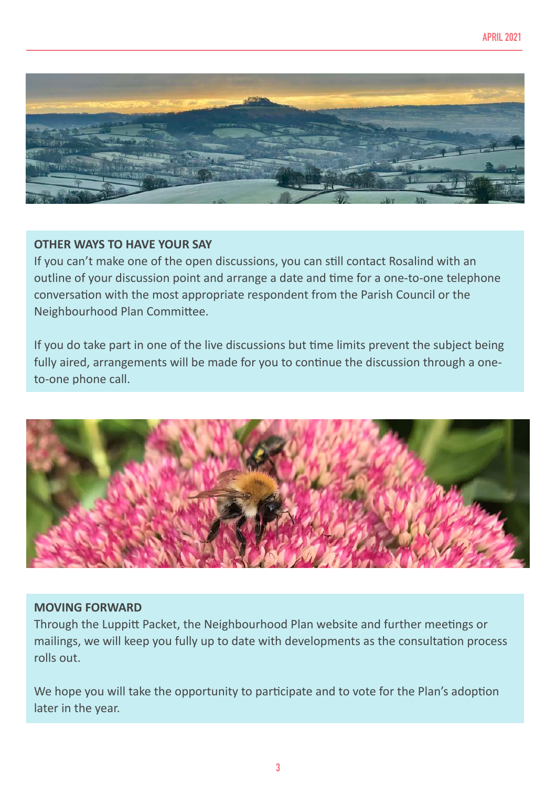

#### **OTHER WAYS TO HAVE YOUR SAY**

If you can't make one of the open discussions, you can still contact Rosalind with an outline of your discussion point and arrange a date and time for a one-to-one telephone conversation with the most appropriate respondent from the Parish Council or the Neighbourhood Plan Committee.

If you do take part in one of the live discussions but time limits prevent the subject being fully aired, arrangements will be made for you to continue the discussion through a oneto-one phone call.



#### **MOVING FORWARD**

Through the Luppitt Packet, the Neighbourhood Plan website and further meetings or mailings, we will keep you fully up to date with developments as the consultation process rolls out.

We hope you will take the opportunity to participate and to vote for the Plan's adoption later in the year.